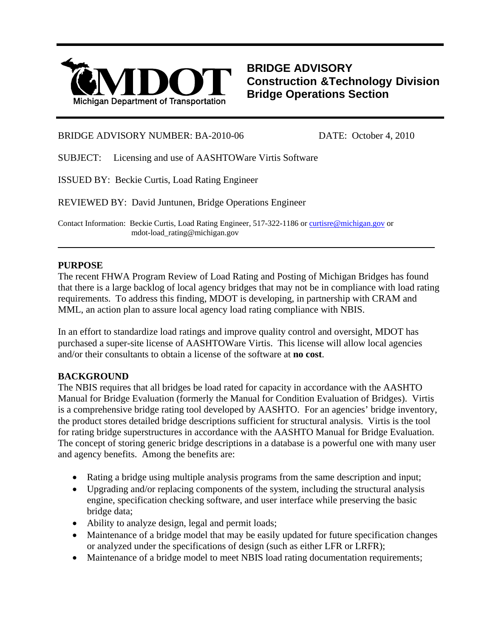

**BRIDGE ADVISORY Construction &Technology Division Bridge Operations Section**

### BRIDGE ADVISORY NUMBER: BA-2010-06 DATE: October 4, 2010

SUBJECT: Licensing and use of AASHTOWare Virtis Software

ISSUED BY: Beckie Curtis, Load Rating Engineer

REVIEWED BY: David Juntunen, Bridge Operations Engineer

Contact Information: Beckie Curtis, Load Rating Engineer, 517-322-1186 or [curtisre@michigan.gov](mailto:curtisre@michigan.gov) or mdot-load\_rating@michigan.gov

#### **PURPOSE**

The recent FHWA Program Review of Load Rating and Posting of Michigan Bridges has found that there is a large backlog of local agency bridges that may not be in compliance with load rating requirements. To address this finding, MDOT is developing, in partnership with CRAM and MML, an action plan to assure local agency load rating compliance with NBIS.

l

In an effort to standardize load ratings and improve quality control and oversight, MDOT has purchased a super-site license of AASHTOWare Virtis. This license will allow local agencies and/or their consultants to obtain a license of the software at **no cost**.

## **BACKGROUND**

The NBIS requires that all bridges be load rated for capacity in accordance with the AASHTO Manual for Bridge Evaluation (formerly the Manual for Condition Evaluation of Bridges). Virtis is a comprehensive bridge rating tool developed by AASHTO. For an agencies' bridge inventory, the product stores detailed bridge descriptions sufficient for structural analysis. Virtis is the tool for rating bridge superstructures in accordance with the AASHTO Manual for Bridge Evaluation. The concept of storing generic bridge descriptions in a database is a powerful one with many user and agency benefits. Among the benefits are:

- Rating a bridge using multiple analysis programs from the same description and input;
- Upgrading and/or replacing components of the system, including the structural analysis engine, specification checking software, and user interface while preserving the basic bridge data;
- Ability to analyze design, legal and permit loads;
- Maintenance of a bridge model that may be easily updated for future specification changes or analyzed under the specifications of design (such as either LFR or LRFR);
- Maintenance of a bridge model to meet NBIS load rating documentation requirements;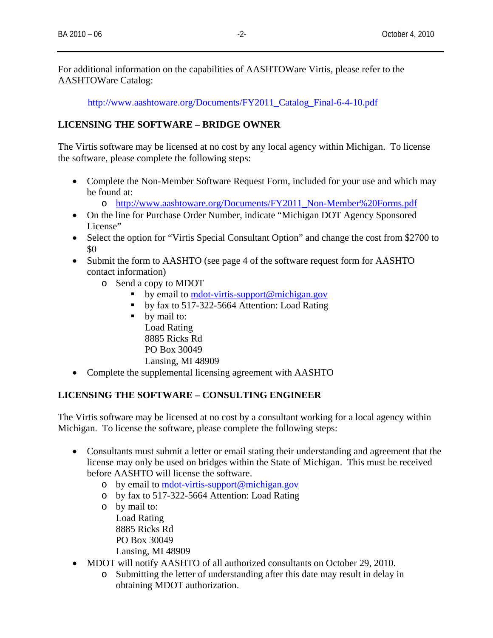For additional information on the capabilities of AASHTOWare Virtis, please refer to the AASHTOWare Catalog:

[http://www.aashtoware.org/Documents/FY2011\\_Catalog\\_Final-6-4-10.pdf](http://www.aashtoware.org/Documents/FY2011_Catalog_Final-6-4-10.pdf)

## **LICENSING THE SOFTWARE – BRIDGE OWNER**

The Virtis software may be licensed at no cost by any local agency within Michigan. To license the software, please complete the following steps:

- Complete the Non-Member Software Request Form, included for your use and which may be found at:
	- o [http://www.aashtoware.org/Documents/FY2011\\_Non-Member%20Forms.pdf](http://www.aashtoware.org/Documents/FY2011_Non-Member%20Forms.pdf)
- On the line for Purchase Order Number, indicate "Michigan DOT Agency Sponsored License"
- Select the option for "Virtis Special Consultant Option" and change the cost from \$2700 to \$0
- Submit the form to AASHTO (see page 4 of the software request form for AASHTO contact information)
	- o Send a copy to MDOT
		- by email to [mdot-virtis-support@michigan.gov](mailto:mdot-virtis-support@michigan.gov)
		- by fax to 517-322-5664 Attention: Load Rating
		- by mail to: Load Rating 8885 Ricks Rd PO Box 30049 Lansing, MI 48909
- Complete the supplemental licensing agreement with AASHTO

## **LICENSING THE SOFTWARE – CONSULTING ENGINEER**

The Virtis software may be licensed at no cost by a consultant working for a local agency within Michigan. To license the software, please complete the following steps:

- Consultants must submit a letter or email stating their understanding and agreement that the license may only be used on bridges within the State of Michigan. This must be received before AASHTO will license the software.
	- o by email to [mdot-virtis-support@michigan.gov](mailto:mdot-virtis-support@michigan.gov)
	- o by fax to 517-322-5664 Attention: Load Rating
	- o by mail to: Load Rating 8885 Ricks Rd PO Box 30049 Lansing, MI 48909
- MDOT will notify AASHTO of all authorized consultants on October 29, 2010.
	- o Submitting the letter of understanding after this date may result in delay in obtaining MDOT authorization.